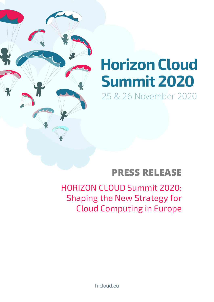

# **Horizon Cloud Summit 2020**

25 & 26 November 2020

# **PRESS RELEASE**

HORIZON CLOUD Summit 2020: Shaping the New Strategy for Cloud Computing in Europe

h-cloud.eu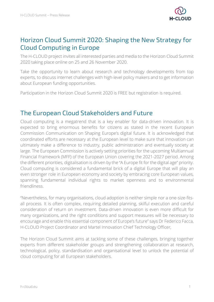

#### Horizon Cloud Summit 2020: Shaping the New Strategy for Cloud Computing in Europe

The H-CLOUD project invites all interested parties and media to the Horizon Cloud Summit 2020 taking place online on 25 and 26 November 2020.

Take the opportunity to learn about research and technology developments from top experts, to discuss internet challenges with high-level policy makers and to get information about European funding opportunities.

Participation in the Horizon Cloud Summit 2020 is FREE but registration is required.

#### The European Cloud Stakeholders and Future

Cloud computing is a megatrend that is a key enabler for data-driven innovation. It is expected to bring enormous benefits for citizens as stated in the recent European Commission Communication on Shaping Europe's digital future. It is acknowledged that coordinated efforts are necessary at the European level to make sure that innovation can ultimately make a difference to industry, public administration and eventually society at large. The European Commission is actively setting priorities for the upcoming Multiannual Financial Framework (MFF) of the European Union covering the 2021-2027 period. Among the different priorities, digitalisation is driven by the "A Europe fit for the digital age" priority. Cloud computing is considered a fundamental brick of a digital Europe that will play an even stronger role in European economy and society by embracing core European values, spanning fundamental individual rights to market openness and to environmental friendliness.

"Nevertheless, for many organisations, cloud adoption is neither simple nor a one-size-fitsall process. It is often complex, requiring detailed planning, skilful execution and careful consideration of return on investment. Data-driven innovation is even more difficult for many organizations, and the right conditions and support measures will be necessary to encourage and enable this essential component of Europe's future" says Dr Federico Facca, H-CLOUD Project Coordinator and Martel Innovation Chief Technology Officer,

The Horizon Cloud Summit aims at tackling some of these challenges, bringing together experts from different stakeholder groups and strengthening collaboration at research, technological, policy, standardisation and organisational level to unlock the potential of cloud computing for all European stakeholders.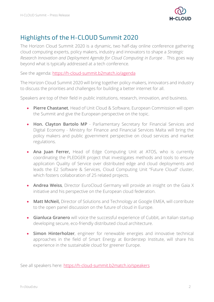

## Highlights of the H-CLOUD Summit 2020

The Horizon Cloud Summit 2020 is a dynamic, two half-day online conference gathering cloud computing experts, policy makers, industry and innovators to shape a *Strategic Research Innovation and Deployment Agenda for Cloud Computing in Europe* . This goes way beyond what is typically addressed at a tech conference.

See the agenda: https://h-cloud-summit.b2match.io/agenda

The Horizon Cloud Summit 2020 will bring together policy-makers, innovators and industry to discuss the priorities and challenges for building a better internet for all.

Speakers are top of their field in public institutions, research, innovation, and business.

- **Pierre Chastanet**, Head of Unit Cloud & Software, European Commission will open the Summit and give the European perspective on the topic.
- **Hon. Clayton Bartolo MP** Parliamentary Secretary for Financial Services and Digital Economy - Ministry for Finance and Financial Services Malta will bring the policy makers and public government perspective on cloud services and market regulations.
- **Ana Juan Ferrer,** Head of Edge Computing Unit at ATOS, who is currently coordinating the PLEDGER project that investigates methods and tools to ensure application Quality of Service over distributed edge and cloud deployments and leads the E2 Software & Services, Cloud Computing Unit "Future Cloud" cluster, which fosters collaboration of 25 related projects.
- **Andrea Weiss**, Director EuroCloud Germany will provide an insight on the Gaia X initiative and his perspective on the European cloud federation.
- **Matt McNeil,** Director of Solutions and Technology at Google EMEA, will contribute to the open panel discussion on the future of cloud in Europe.
- **Gianluca Granero** will voice the successful experience of Cubbit, an Italian startup developing secure, eco-friendly distributed cloud architecture.
- **Simon Hinterholzer**, engineer for renewable energies and innovative technical approaches in the field of Smart Energy at Borderstep Institute, will share his experience in the sustainable cloud for greener Europe.

See all speakers here: https://h-cloud-summit.b2match.io/speakers